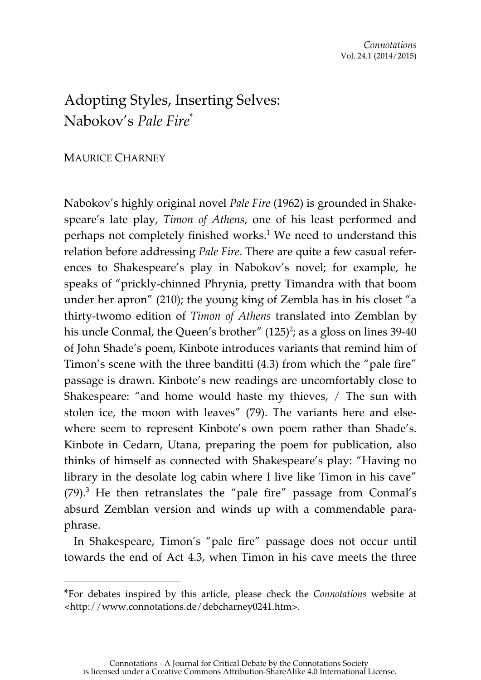# Adopting Styles, Inserting Selves: Nabokov's *Pale Fire*\*

# MAURICE CHARNEY

 $\overline{a}$ 

Nabokov's highly original novel *Pale Fire* (1962) is grounded in Shakespeare's late play, *Timon of Athens*, one of his least performed and perhaps not completely finished works.<sup>1</sup> We need to understand this relation before addressing *Pale Fire*. There are quite a few casual references to Shakespeare's play in Nabokov's novel; for example, he speaks of "prickly-chinned Phrynia, pretty Timandra with that boom under her apron" (210); the young king of Zembla has in his closet "a thirty-twomo edition of *Timon of Athens* translated into Zemblan by his uncle Conmal, the Queen's brother"  $(125)^2$ ; as a gloss on lines 39-40 of John Shade's poem, Kinbote introduces variants that remind him of Timon's scene with the three banditti (4.3) from which the "pale fire" passage is drawn. Kinbote's new readings are uncomfortably close to Shakespeare: "and home would haste my thieves, / The sun with stolen ice, the moon with leaves" (79). The variants here and elsewhere seem to represent Kinbote's own poem rather than Shade's. Kinbote in Cedarn, Utana, preparing the poem for publication, also thinks of himself as connected with Shakespeare's play: "Having no library in the desolate log cabin where I live like Timon in his cave"  $(79).$ <sup>3</sup> He then retranslates the "pale fire" passage from Conmal's absurd Zemblan version and winds up with a commendable paraphrase.

In Shakespeare, Timon's "pale fire" passage does not occur until towards the end of Act 4.3, when Timon in his cave meets the three

<sup>\*</sup>For debates inspired by this article, please check the *Connotations* website at <http://www.connotations.de/debcharney0241.htm>.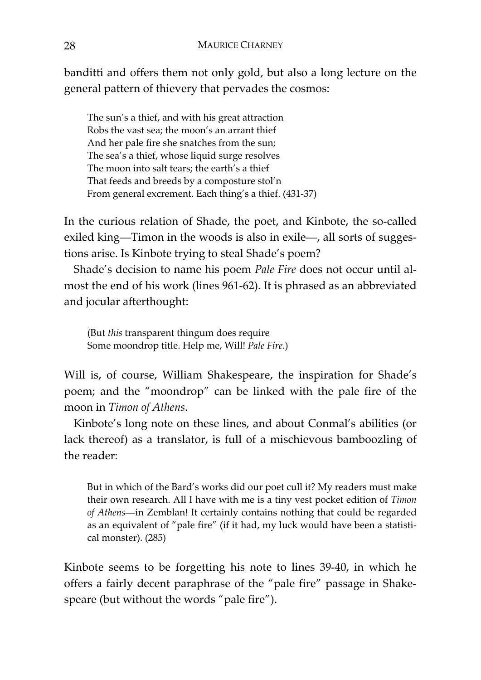banditti and offers them not only gold, but also a long lecture on the general pattern of thievery that pervades the cosmos:

The sun's a thief, and with his great attraction Robs the vast sea; the moon's an arrant thief And her pale fire she snatches from the sun; The sea's a thief, whose liquid surge resolves The moon into salt tears; the earth's a thief That feeds and breeds by a composture stol'n From general excrement. Each thing's a thief. (431-37)

In the curious relation of Shade, the poet, and Kinbote, the so-called exiled king—Timon in the woods is also in exile—, all sorts of suggestions arise. Is Kinbote trying to steal Shade's poem?

Shade's decision to name his poem *Pale Fire* does not occur until almost the end of his work (lines 961-62). It is phrased as an abbreviated and jocular afterthought:

(But *this* transparent thingum does require Some moondrop title. Help me, Will! *Pale Fire*.)

Will is, of course, William Shakespeare, the inspiration for Shade's poem; and the "moondrop" can be linked with the pale fire of the moon in *Timon of Athens*.

Kinbote's long note on these lines, and about Conmal's abilities (or lack thereof) as a translator, is full of a mischievous bamboozling of the reader:

But in which of the Bard's works did our poet cull it? My readers must make their own research. All I have with me is a tiny vest pocket edition of *Timon of Athens*—in Zemblan! It certainly contains nothing that could be regarded as an equivalent of "pale fire" (if it had, my luck would have been a statistical monster). (285)

Kinbote seems to be forgetting his note to lines 39-40, in which he offers a fairly decent paraphrase of the "pale fire" passage in Shakespeare (but without the words "pale fire").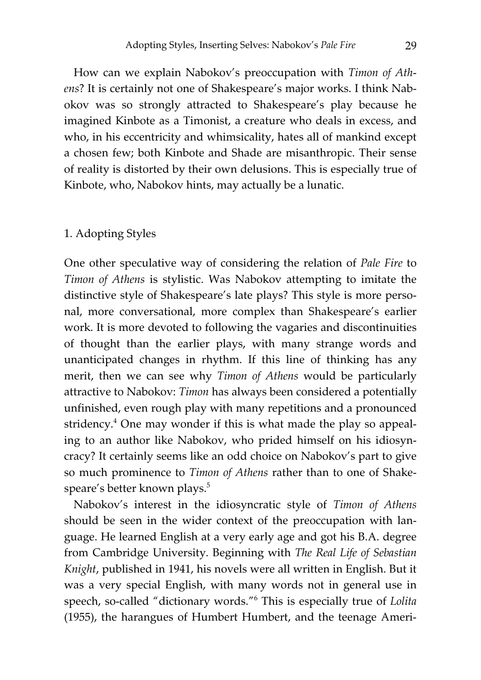How can we explain Nabokov's preoccupation with *Timon of Athens*? It is certainly not one of Shakespeare's major works. I think Nabokov was so strongly attracted to Shakespeare's play because he imagined Kinbote as a Timonist, a creature who deals in excess, and who, in his eccentricity and whimsicality, hates all of mankind except a chosen few; both Kinbote and Shade are misanthropic. Their sense of reality is distorted by their own delusions. This is especially true of Kinbote, who, Nabokov hints, may actually be a lunatic.

## 1. Adopting Styles

One other speculative way of considering the relation of *Pale Fire* to *Timon of Athens* is stylistic. Was Nabokov attempting to imitate the distinctive style of Shakespeare's late plays? This style is more personal, more conversational, more complex than Shakespeare's earlier work. It is more devoted to following the vagaries and discontinuities of thought than the earlier plays, with many strange words and unanticipated changes in rhythm. If this line of thinking has any merit, then we can see why *Timon of Athens* would be particularly attractive to Nabokov: *Timon* has always been considered a potentially unfinished, even rough play with many repetitions and a pronounced stridency.<sup>4</sup> One may wonder if this is what made the play so appealing to an author like Nabokov, who prided himself on his idiosyncracy? It certainly seems like an odd choice on Nabokov's part to give so much prominence to *Timon of Athens* rather than to one of Shakespeare's better known plays.<sup>5</sup>

Nabokov's interest in the idiosyncratic style of *Timon of Athens* should be seen in the wider context of the preoccupation with language. He learned English at a very early age and got his B.A. degree from Cambridge University. Beginning with *The Real Life of Sebastian Knight*, published in 1941, his novels were all written in English. But it was a very special English, with many words not in general use in speech, so-called "dictionary words."6 This is especially true of *Lolita* (1955), the harangues of Humbert Humbert, and the teenage Ameri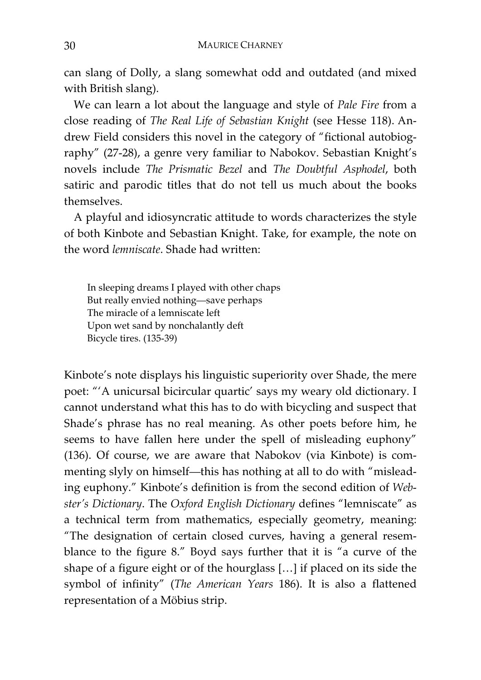can slang of Dolly, a slang somewhat odd and outdated (and mixed with British slang).

We can learn a lot about the language and style of *Pale Fire* from a close reading of *The Real Life of Sebastian Knight* (see Hesse 118). Andrew Field considers this novel in the category of "fictional autobiography" (27-28), a genre very familiar to Nabokov. Sebastian Knight's novels include *The Prismatic Bezel* and *The Doubtful Asphodel*, both satiric and parodic titles that do not tell us much about the books themselves.

A playful and idiosyncratic attitude to words characterizes the style of both Kinbote and Sebastian Knight. Take, for example, the note on the word *lemniscate*. Shade had written:

In sleeping dreams I played with other chaps But really envied nothing—save perhaps The miracle of a lemniscate left Upon wet sand by nonchalantly deft Bicycle tires. (135-39)

Kinbote's note displays his linguistic superiority over Shade, the mere poet: "'A unicursal bicircular quartic' says my weary old dictionary. I cannot understand what this has to do with bicycling and suspect that Shade's phrase has no real meaning. As other poets before him, he seems to have fallen here under the spell of misleading euphony" (136). Of course, we are aware that Nabokov (via Kinbote) is commenting slyly on himself—this has nothing at all to do with "misleading euphony." Kinbote's definition is from the second edition of *Webster's Dictionary*. The *Oxford English Dictionary* defines "lemniscate" as a technical term from mathematics, especially geometry, meaning: "The designation of certain closed curves, having a general resemblance to the figure 8." Boyd says further that it is "a curve of the shape of a figure eight or of the hourglass […] if placed on its side the symbol of infinity" (*The American Years* 186). It is also a flattened representation of a Möbius strip.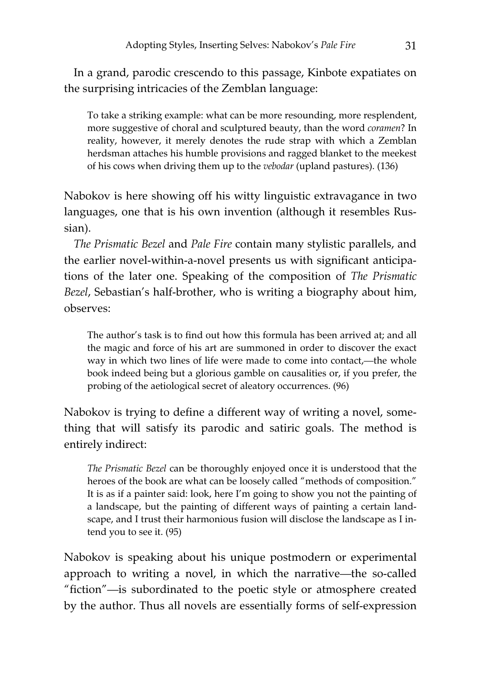In a grand, parodic crescendo to this passage, Kinbote expatiates on the surprising intricacies of the Zemblan language:

To take a striking example: what can be more resounding, more resplendent, more suggestive of choral and sculptured beauty, than the word *coramen*? In reality, however, it merely denotes the rude strap with which a Zemblan herdsman attaches his humble provisions and ragged blanket to the meekest of his cows when driving them up to the *vebodar* (upland pastures). (136)

Nabokov is here showing off his witty linguistic extravagance in two languages, one that is his own invention (although it resembles Russian).

*The Prismatic Bezel* and *Pale Fire* contain many stylistic parallels, and the earlier novel-within-a-novel presents us with significant anticipations of the later one. Speaking of the composition of *The Prismatic Bezel*, Sebastian's half-brother, who is writing a biography about him, observes:

The author's task is to find out how this formula has been arrived at; and all the magic and force of his art are summoned in order to discover the exact way in which two lines of life were made to come into contact,—the whole book indeed being but a glorious gamble on causalities or, if you prefer, the probing of the aetiological secret of aleatory occurrences. (96)

Nabokov is trying to define a different way of writing a novel, something that will satisfy its parodic and satiric goals. The method is entirely indirect:

*The Prismatic Bezel* can be thoroughly enjoyed once it is understood that the heroes of the book are what can be loosely called "methods of composition." It is as if a painter said: look, here I'm going to show you not the painting of a landscape, but the painting of different ways of painting a certain landscape, and I trust their harmonious fusion will disclose the landscape as I intend you to see it. (95)

Nabokov is speaking about his unique postmodern or experimental approach to writing a novel, in which the narrative—the so-called "fiction"—is subordinated to the poetic style or atmosphere created by the author. Thus all novels are essentially forms of self-expression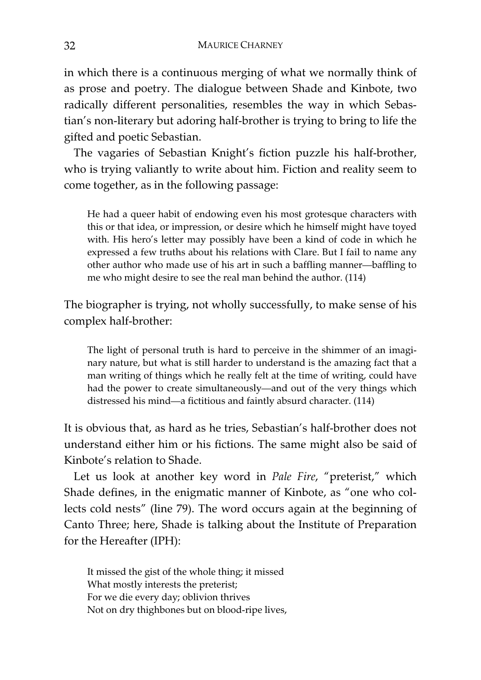in which there is a continuous merging of what we normally think of as prose and poetry. The dialogue between Shade and Kinbote, two radically different personalities, resembles the way in which Sebastian's non-literary but adoring half-brother is trying to bring to life the gifted and poetic Sebastian.

The vagaries of Sebastian Knight's fiction puzzle his half-brother, who is trying valiantly to write about him. Fiction and reality seem to come together, as in the following passage:

He had a queer habit of endowing even his most grotesque characters with this or that idea, or impression, or desire which he himself might have toyed with. His hero's letter may possibly have been a kind of code in which he expressed a few truths about his relations with Clare. But I fail to name any other author who made use of his art in such a baffling manner—baffling to me who might desire to see the real man behind the author. (114)

The biographer is trying, not wholly successfully, to make sense of his complex half-brother:

The light of personal truth is hard to perceive in the shimmer of an imaginary nature, but what is still harder to understand is the amazing fact that a man writing of things which he really felt at the time of writing, could have had the power to create simultaneously—and out of the very things which distressed his mind—a fictitious and faintly absurd character. (114)

It is obvious that, as hard as he tries, Sebastian's half-brother does not understand either him or his fictions. The same might also be said of Kinbote's relation to Shade.

Let us look at another key word in *Pale Fire*, "preterist," which Shade defines, in the enigmatic manner of Kinbote, as "one who collects cold nests" (line 79). The word occurs again at the beginning of Canto Three; here, Shade is talking about the Institute of Preparation for the Hereafter (IPH):

It missed the gist of the whole thing; it missed What mostly interests the preterist; For we die every day; oblivion thrives Not on dry thighbones but on blood-ripe lives,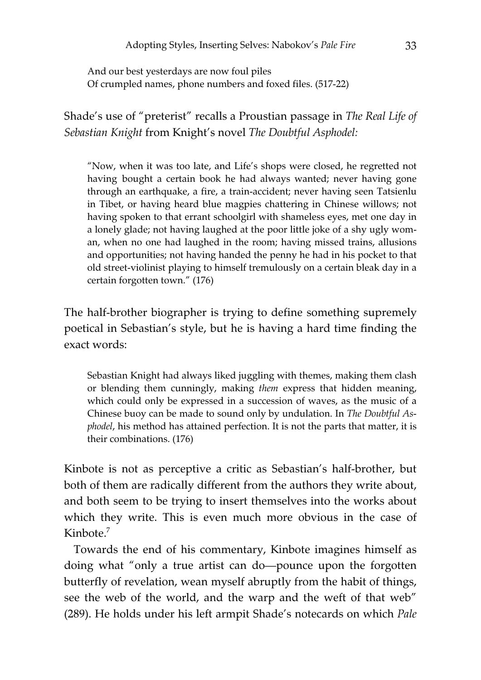And our best yesterdays are now foul piles Of crumpled names, phone numbers and foxed files. (517-22)

Shade's use of "preterist" recalls a Proustian passage in *The Real Life of Sebastian Knight* from Knight's novel *The Doubtful Asphodel:*

"Now, when it was too late, and Life's shops were closed, he regretted not having bought a certain book he had always wanted; never having gone through an earthquake, a fire, a train-accident; never having seen Tatsienlu in Tibet, or having heard blue magpies chattering in Chinese willows; not having spoken to that errant schoolgirl with shameless eyes, met one day in a lonely glade; not having laughed at the poor little joke of a shy ugly woman, when no one had laughed in the room; having missed trains, allusions and opportunities; not having handed the penny he had in his pocket to that old street-violinist playing to himself tremulously on a certain bleak day in a certain forgotten town." (176)

The half-brother biographer is trying to define something supremely poetical in Sebastian's style, but he is having a hard time finding the exact words:

Sebastian Knight had always liked juggling with themes, making them clash or blending them cunningly, making *them* express that hidden meaning, which could only be expressed in a succession of waves, as the music of a Chinese buoy can be made to sound only by undulation. In *The Doubtful Asphodel*, his method has attained perfection. It is not the parts that matter, it is their combinations. (176)

Kinbote is not as perceptive a critic as Sebastian's half-brother, but both of them are radically different from the authors they write about, and both seem to be trying to insert themselves into the works about which they write. This is even much more obvious in the case of Kinbote.7

Towards the end of his commentary, Kinbote imagines himself as doing what "only a true artist can do—pounce upon the forgotten butterfly of revelation, wean myself abruptly from the habit of things, see the web of the world, and the warp and the weft of that web" (289). He holds under his left armpit Shade's notecards on which *Pale*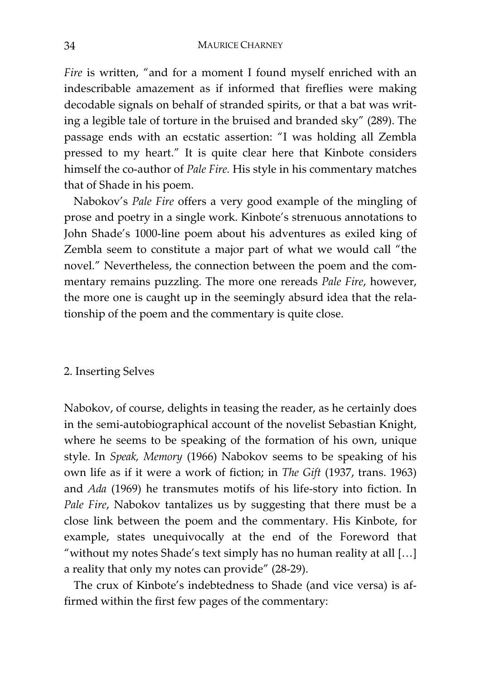*Fire* is written, "and for a moment I found myself enriched with an indescribable amazement as if informed that fireflies were making decodable signals on behalf of stranded spirits, or that a bat was writing a legible tale of torture in the bruised and branded sky" (289). The passage ends with an ecstatic assertion: "I was holding all Zembla pressed to my heart." It is quite clear here that Kinbote considers himself the co-author of *Pale Fire.* His style in his commentary matches that of Shade in his poem.

Nabokov's *Pale Fire* offers a very good example of the mingling of prose and poetry in a single work. Kinbote's strenuous annotations to John Shade's 1000-line poem about his adventures as exiled king of Zembla seem to constitute a major part of what we would call "the novel." Nevertheless, the connection between the poem and the commentary remains puzzling. The more one rereads *Pale Fire*, however, the more one is caught up in the seemingly absurd idea that the relationship of the poem and the commentary is quite close.

## 2. Inserting Selves

Nabokov, of course, delights in teasing the reader, as he certainly does in the semi-autobiographical account of the novelist Sebastian Knight, where he seems to be speaking of the formation of his own, unique style. In *Speak, Memory* (1966) Nabokov seems to be speaking of his own life as if it were a work of fiction; in *The Gift* (1937, trans. 1963) and *Ada* (1969) he transmutes motifs of his life-story into fiction. In *Pale Fire*, Nabokov tantalizes us by suggesting that there must be a close link between the poem and the commentary. His Kinbote, for example, states unequivocally at the end of the Foreword that "without my notes Shade's text simply has no human reality at all […] a reality that only my notes can provide" (28-29).

The crux of Kinbote's indebtedness to Shade (and vice versa) is affirmed within the first few pages of the commentary: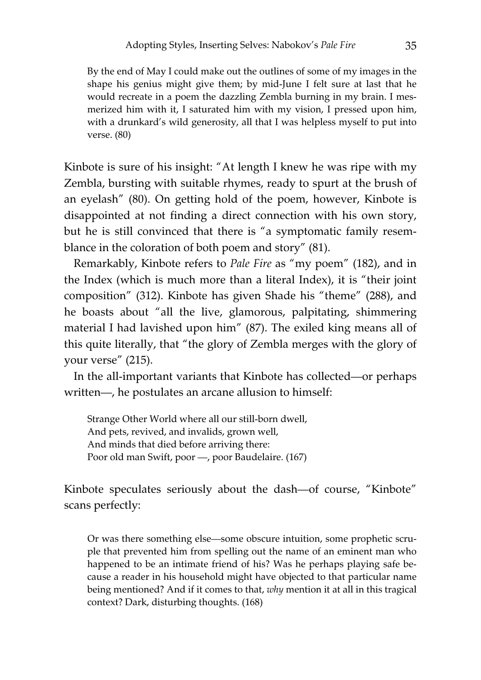By the end of May I could make out the outlines of some of my images in the shape his genius might give them; by mid-June I felt sure at last that he would recreate in a poem the dazzling Zembla burning in my brain. I mesmerized him with it, I saturated him with my vision, I pressed upon him, with a drunkard's wild generosity, all that I was helpless myself to put into verse. (80)

Kinbote is sure of his insight: "At length I knew he was ripe with my Zembla, bursting with suitable rhymes, ready to spurt at the brush of an eyelash" (80). On getting hold of the poem, however, Kinbote is disappointed at not finding a direct connection with his own story, but he is still convinced that there is "a symptomatic family resemblance in the coloration of both poem and story" (81).

Remarkably, Kinbote refers to *Pale Fire* as "my poem" (182), and in the Index (which is much more than a literal Index), it is "their joint composition" (312). Kinbote has given Shade his "theme" (288), and he boasts about "all the live, glamorous, palpitating, shimmering material I had lavished upon him" (87). The exiled king means all of this quite literally, that "the glory of Zembla merges with the glory of your verse" (215).

In the all-important variants that Kinbote has collected—or perhaps written—, he postulates an arcane allusion to himself:

Strange Other World where all our still-born dwell, And pets, revived, and invalids, grown well, And minds that died before arriving there: Poor old man Swift, poor —, poor Baudelaire. (167)

Kinbote speculates seriously about the dash—of course, "Kinbote" scans perfectly:

Or was there something else—some obscure intuition, some prophetic scruple that prevented him from spelling out the name of an eminent man who happened to be an intimate friend of his? Was he perhaps playing safe because a reader in his household might have objected to that particular name being mentioned? And if it comes to that, *why* mention it at all in this tragical context? Dark, disturbing thoughts. (168)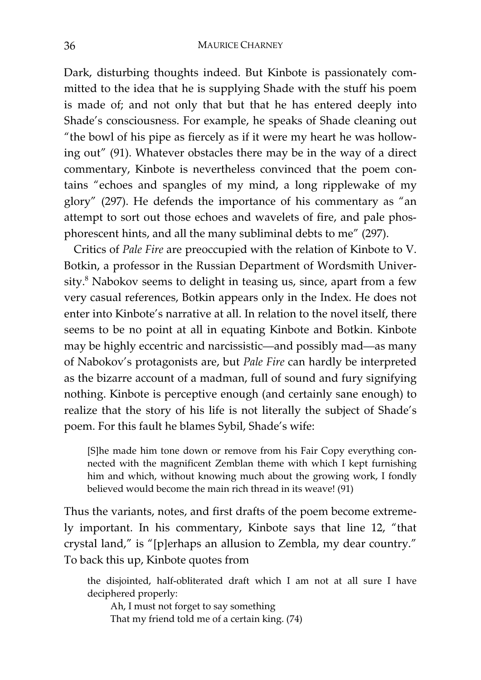Dark, disturbing thoughts indeed. But Kinbote is passionately committed to the idea that he is supplying Shade with the stuff his poem is made of; and not only that but that he has entered deeply into Shade's consciousness. For example, he speaks of Shade cleaning out "the bowl of his pipe as fiercely as if it were my heart he was hollowing out" (91). Whatever obstacles there may be in the way of a direct commentary, Kinbote is nevertheless convinced that the poem contains "echoes and spangles of my mind, a long ripplewake of my glory" (297). He defends the importance of his commentary as "an attempt to sort out those echoes and wavelets of fire, and pale phosphorescent hints, and all the many subliminal debts to me" (297).

Critics of *Pale Fire* are preoccupied with the relation of Kinbote to V. Botkin, a professor in the Russian Department of Wordsmith University.<sup>8</sup> Nabokov seems to delight in teasing us, since, apart from a few very casual references, Botkin appears only in the Index. He does not enter into Kinbote's narrative at all. In relation to the novel itself, there seems to be no point at all in equating Kinbote and Botkin. Kinbote may be highly eccentric and narcissistic—and possibly mad—as many of Nabokov's protagonists are, but *Pale Fire* can hardly be interpreted as the bizarre account of a madman, full of sound and fury signifying nothing. Kinbote is perceptive enough (and certainly sane enough) to realize that the story of his life is not literally the subject of Shade's poem. For this fault he blames Sybil, Shade's wife:

[S]he made him tone down or remove from his Fair Copy everything connected with the magnificent Zemblan theme with which I kept furnishing him and which, without knowing much about the growing work, I fondly believed would become the main rich thread in its weave! (91)

Thus the variants, notes, and first drafts of the poem become extremely important. In his commentary, Kinbote says that line 12, "that crystal land," is "[p]erhaps an allusion to Zembla, my dear country." To back this up, Kinbote quotes from

the disjointed, half-obliterated draft which I am not at all sure I have deciphered properly:

Ah, I must not forget to say something That my friend told me of a certain king. (74)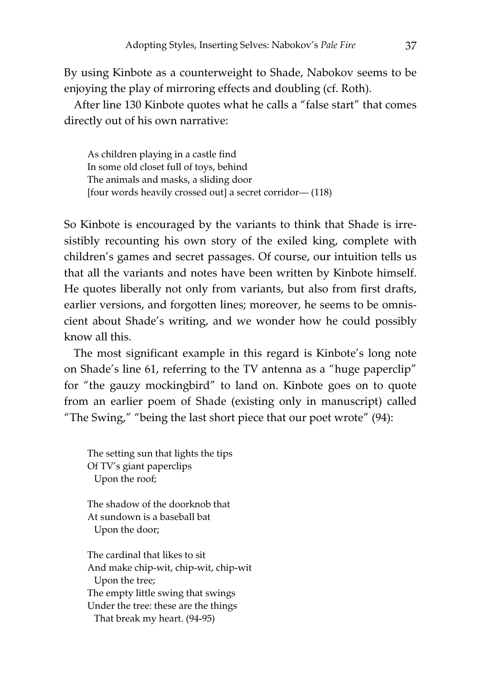By using Kinbote as a counterweight to Shade, Nabokov seems to be enjoying the play of mirroring effects and doubling (cf. Roth).

After line 130 Kinbote quotes what he calls a "false start" that comes directly out of his own narrative:

As children playing in a castle find In some old closet full of toys, behind The animals and masks, a sliding door [four words heavily crossed out] a secret corridor— (118)

So Kinbote is encouraged by the variants to think that Shade is irresistibly recounting his own story of the exiled king, complete with children's games and secret passages. Of course, our intuition tells us that all the variants and notes have been written by Kinbote himself. He quotes liberally not only from variants, but also from first drafts, earlier versions, and forgotten lines; moreover, he seems to be omniscient about Shade's writing, and we wonder how he could possibly know all this.

The most significant example in this regard is Kinbote's long note on Shade's line 61, referring to the TV antenna as a "huge paperclip" for "the gauzy mockingbird" to land on. Kinbote goes on to quote from an earlier poem of Shade (existing only in manuscript) called "The Swing," "being the last short piece that our poet wrote" (94):

The setting sun that lights the tips Of TV's giant paperclips Upon the roof;

The shadow of the doorknob that At sundown is a baseball bat Upon the door;

The cardinal that likes to sit And make chip-wit, chip-wit, chip-wit Upon the tree; The empty little swing that swings Under the tree: these are the things That break my heart. (94-95)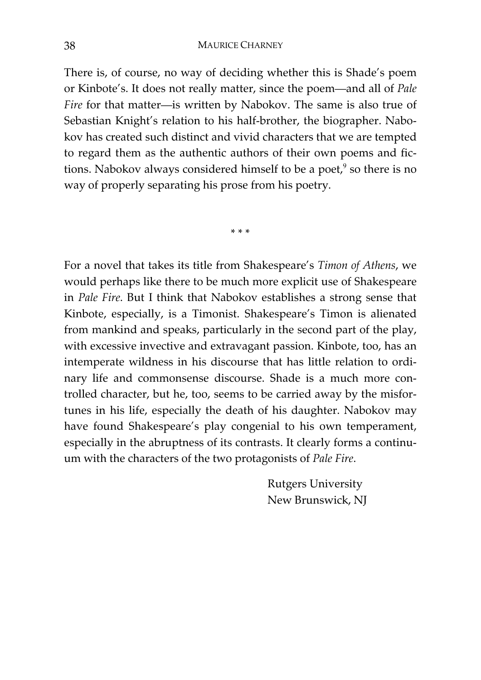There is, of course, no way of deciding whether this is Shade's poem or Kinbote's. It does not really matter, since the poem—and all of *Pale Fire* for that matter—is written by Nabokov. The same is also true of Sebastian Knight's relation to his half-brother, the biographer. Nabokov has created such distinct and vivid characters that we are tempted to regard them as the authentic authors of their own poems and fictions. Nabokov always considered himself to be a poet, $9$  so there is no way of properly separating his prose from his poetry.

\* \* \*

For a novel that takes its title from Shakespeare's *Timon of Athens*, we would perhaps like there to be much more explicit use of Shakespeare in *Pale Fire*. But I think that Nabokov establishes a strong sense that Kinbote, especially, is a Timonist. Shakespeare's Timon is alienated from mankind and speaks, particularly in the second part of the play, with excessive invective and extravagant passion. Kinbote, too, has an intemperate wildness in his discourse that has little relation to ordinary life and commonsense discourse. Shade is a much more controlled character, but he, too, seems to be carried away by the misfortunes in his life, especially the death of his daughter. Nabokov may have found Shakespeare's play congenial to his own temperament, especially in the abruptness of its contrasts. It clearly forms a continuum with the characters of the two protagonists of *Pale Fire*.

> Rutgers University New Brunswick, NJ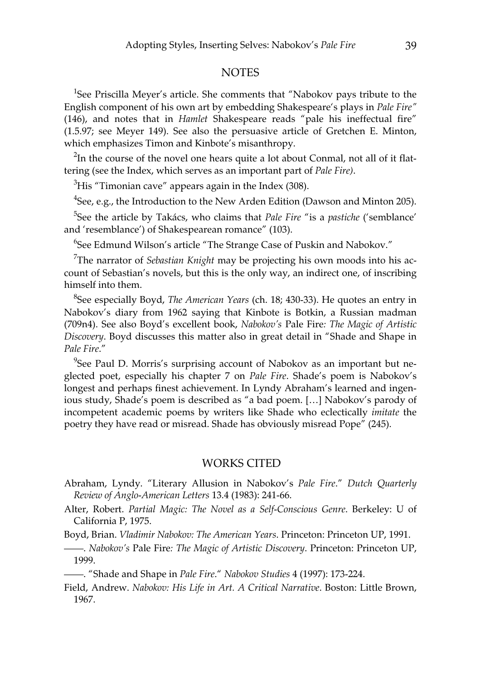### **NOTES**

<sup>1</sup>See Priscilla Meyer's article. She comments that "Nabokov pays tribute to the English component of his own art by embedding Shakespeare's plays in *Pale Fire"*  (146), and notes that in *Hamlet* Shakespeare reads "pale his ineffectual fire" (1.5.97; see Meyer 149). See also the persuasive article of Gretchen E. Minton, which emphasizes Timon and Kinbote's misanthropy.

 $^{2}$ In the course of the novel one hears quite a lot about Conmal, not all of it flattering (see the Index, which serves as an important part of *Pale Fire)*.

 ${}^{3}$ His "Timonian cave" appears again in the Index (308).

 ${}^{4}$ See, e.g., the Introduction to the New Arden Edition (Dawson and Minton 205).

5 See the article by Takács, who claims that *Pale Fire* "is a *pastiche* ('semblance' and 'resemblance') of Shakespearean romance" (103).

<sup>6</sup>See Edmund Wilson's article "The Strange Case of Puskin and Nabokov."

7 The narrator of *Sebastian Knight* may be projecting his own moods into his account of Sebastian's novels, but this is the only way, an indirect one, of inscribing himself into them.

8 See especially Boyd, *The American Years* (ch. 18; 430-33). He quotes an entry in Nabokov's diary from 1962 saying that Kinbote is Botkin, a Russian madman (709n4). See also Boyd's excellent book, *Nabokov's* Pale Fire*: The Magic of Artistic Discovery*. Boyd discusses this matter also in great detail in "Shade and Shape in *Pale Fire*."

 $9$ See Paul D. Morris's surprising account of Nabokov as an important but neglected poet, especially his chapter 7 on *Pale Fire*. Shade's poem is Nabokov's longest and perhaps finest achievement. In Lyndy Abraham's learned and ingenious study, Shade's poem is described as "a bad poem. […] Nabokov's parody of incompetent academic poems by writers like Shade who eclectically *imitate* the poetry they have read or misread. Shade has obviously misread Pope" (245).

### WORKS CITED

- Abraham, Lyndy. "Literary Allusion in Nabokov's *Pale Fire*." *Dutch Quarterly Review of Anglo-American Letters* 13.4 (1983): 241-66.
- Alter, Robert. *Partial Magic: The Novel as a Self-Conscious Genre*. Berkeley: U of California P, 1975.

Boyd, Brian. *Vladimir Nabokov: The American Years*. Princeton: Princeton UP, 1991.

——. *Nabokov's* Pale Fire*: The Magic of Artistic Discovery*. Princeton: Princeton UP, 1999.

——. "Shade and Shape in *Pale Fire*." *Nabokov Studies* 4 (1997): 173-224.

Field, Andrew. *Nabokov: His Life in Art. A Critical Narrative*. Boston: Little Brown, 1967.